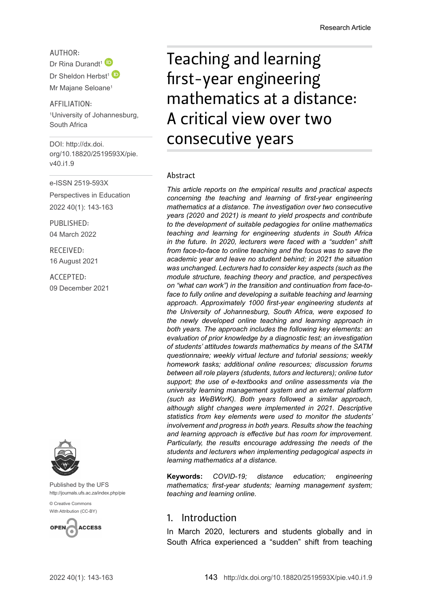AUTHOR:

Dr Rina Durandt<sup>[1](http://orcid.org/0000-0003-1530-9433)</sup>

Dr Sheldon Herbst<sup>[1](http://orcid.org/0000-0002-0207-9889)</sup>

Mr Majane Seloane<sup>1</sup>

AFFILIATION: 1 University of Johannesburg, South Africa

DOI: [http://dx.doi.](http://dx.doi.org/10.18820/2519593X/pie.v40.i1.9) [org/10.18820/2519593X/p](http://dx.doi.org/10.18820/2519593X/pie.v40.i1.9)ie. v40.i1.9

e-ISSN 2519-593X

Perspectives in Education 2022 40(1): 143-163

PUBLISHED: 04 March 2022

RECEIVED: 16 August 2021

ACCEPTED: 09 December 2021



Published by the UFS [http://journals.ufs.ac.za/index.php/pie](http://www.statssa.gov.za/?p=11341)

[© Creative Commons](http://documents.worldbank.org/curated/en/530481521735906534/Overcoming-Poverty-and-Inequality-in-South-Africa-An-Assessment-of-Drivers-Constraints-and-Opportunities)  [With Attribution \(CC-BY\)](http://documents.worldbank.org/curated/en/530481521735906534/Overcoming-Poverty-and-Inequality-in-South-Africa-An-Assessment-of-Drivers-Constraints-and-Opportunities)



Teaching and learning first-year engineering mathematics at a distance: A critical view over two consecutive years

#### Abstract

*This article reports on the empirical results and practical aspects concerning the teaching and learning of first-year engineering mathematics at a distance. The investigation over two consecutive years (2020 and 2021) is meant to yield prospects and contribute to the development of suitable pedagogies for online mathematics teaching and learning for engineering students in South Africa*  in the future. In 2020, lecturers were faced with a "sudden" shift *from face-to-face to online teaching and the focus was to save the academic year and leave no student behind; in 2021 the situation was unchanged. Lecturers had to consider key aspects (such as the module structure, teaching theory and practice, and perspectives on "what can work") in the transition and continuation from face-toface to fully online and developing a suitable teaching and learning approach. Approximately 1000 first-year engineering students at the University of Johannesburg, South Africa, were exposed to the newly developed online teaching and learning approach in both years. The approach includes the following key elements: an evaluation of prior knowledge by a diagnostic test; an investigation of students' attitudes towards mathematics by means of the SATM questionnaire; weekly virtual lecture and tutorial sessions; weekly homework tasks; additional online resources; discussion forums between all role players (students, tutors and lecturers); online tutor support; the use of e-textbooks and online assessments via the university learning management system and an external platform (such as WeBWorK). Both years followed a similar approach, although slight changes were implemented in 2021. Descriptive statistics from key elements were used to monitor the students' involvement and progress in both years. Results show the teaching and learning approach is effective but has room for improvement. Particularly, the results encourage addressing the needs of the students and lecturers when implementing pedagogical aspects in learning mathematics at a distance.*

**Keywords:** *COVID-19; distance education; engineering mathematics; first-year students; learning management system; teaching and learning online.*

#### 1. Introduction

In March 2020, lecturers and students globally and in South Africa experienced a "sudden" shift from teaching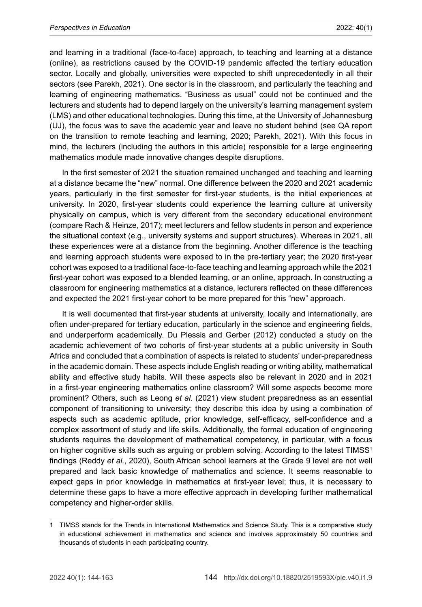and learning in a traditional (face-to-face) approach, to teaching and learning at a distance (online), as restrictions caused by the COVID-19 pandemic affected the tertiary education sector. Locally and globally, universities were expected to shift unprecedentedly in all their sectors (see Parekh, 2021). One sector is in the classroom, and particularly the teaching and learning of engineering mathematics. "Business as usual" could not be continued and the lecturers and students had to depend largely on the university's learning management system (LMS) and other educational technologies. During this time, at the University of Johannesburg (UJ), the focus was to save the academic year and leave no student behind (see QA report on the transition to remote teaching and learning, 2020; Parekh, 2021). With this focus in mind, the lecturers (including the authors in this article) responsible for a large engineering mathematics module made innovative changes despite disruptions.

In the first semester of 2021 the situation remained unchanged and teaching and learning at a distance became the "new" normal. One difference between the 2020 and 2021 academic years, particularly in the first semester for first-year students, is the initial experiences at university. In 2020, first-year students could experience the learning culture at university physically on campus, which is very different from the secondary educational environment (compare Rach & Heinze, 2017); meet lecturers and fellow students in person and experience the situational context (e.g., university systems and support structures). Whereas in 2021, all these experiences were at a distance from the beginning. Another difference is the teaching and learning approach students were exposed to in the pre-tertiary year; the 2020 first-year cohort was exposed to a traditional face-to-face teaching and learning approach while the 2021 first-year cohort was exposed to a blended learning, or an online, approach. In constructing a classroom for engineering mathematics at a distance, lecturers reflected on these differences and expected the 2021 first-year cohort to be more prepared for this "new" approach.

It is well documented that first-year students at university, locally and internationally, are often under-prepared for tertiary education, particularly in the science and engineering fields, and underperform academically. Du Plessis and Gerber (2012) conducted a study on the academic achievement of two cohorts of first-year students at a public university in South Africa and concluded that a combination of aspects is related to students' under-preparedness in the academic domain. These aspects include English reading or writing ability, mathematical ability and effective study habits. Will these aspects also be relevant in 2020 and in 2021 in a first-year engineering mathematics online classroom? Will some aspects become more prominent? Others, such as Leong *et al*. (2021) view student preparedness as an essential component of transitioning to university; they describe this idea by using a combination of aspects such as academic aptitude, prior knowledge, self-efficacy, self-confidence and a complex assortment of study and life skills. Additionally, the formal education of engineering students requires the development of mathematical competency, in particular, with a focus on higher cognitive skills such as arguing or problem solving. According to the latest TIMSS<sup>1</sup> findings (Reddy *et al.*, 2020), South African school learners at the Grade 9 level are not well prepared and lack basic knowledge of mathematics and science. It seems reasonable to expect gaps in prior knowledge in mathematics at first-year level; thus, it is necessary to determine these gaps to have a more effective approach in developing further mathematical competency and higher-order skills.

<sup>1</sup> TIMSS stands for the Trends in International Mathematics and Science Study. This is a comparative study in educational achievement in mathematics and science and involves approximately 50 countries and thousands of students in each participating country.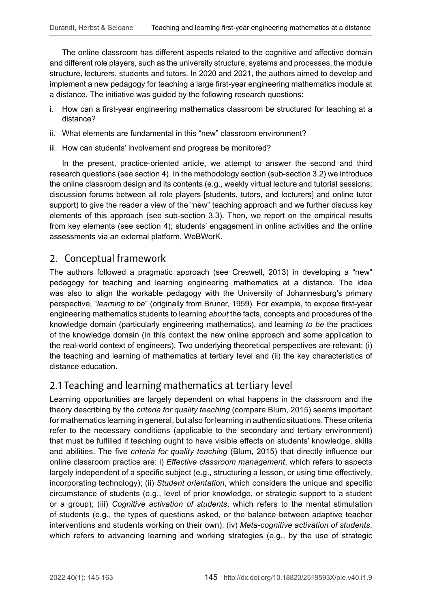The online classroom has different aspects related to the cognitive and affective domain and different role players, such as the university structure, systems and processes, the module structure, lecturers, students and tutors. In 2020 and 2021, the authors aimed to develop and implement a new pedagogy for teaching a large first-year engineering mathematics module at a distance. The initiative was guided by the following research questions:

- i. How can a first-year engineering mathematics classroom be structured for teaching at a distance?
- ii. What elements are fundamental in this "new" classroom environment?
- iii. How can students' involvement and progress be monitored?

In the present, practice-oriented article, we attempt to answer the second and third research questions (see section 4). In the methodology section (sub-section 3.2) we introduce the online classroom design and its contents (e.g., weekly virtual lecture and tutorial sessions; discussion forums between all role players [students, tutors, and lecturers] and online tutor support) to give the reader a view of the "new" teaching approach and we further discuss key elements of this approach (see sub-section 3.3). Then, we report on the empirical results from key elements (see section 4); students' engagement in online activities and the online assessments via an external platform, WeBWorK.

### 2. Conceptual framework

The authors followed a pragmatic approach (see Creswell, 2013) in developing a "new" pedagogy for teaching and learning engineering mathematics at a distance. The idea was also to align the workable pedagogy with the University of Johannesburg's primary perspective, "*learning to be*" (originally from Bruner, 1959). For example, to expose first-year engineering mathematics students to learning *about* the facts, concepts and procedures of the knowledge domain (particularly engineering mathematics), and learning *to be* the practices of the knowledge domain (in this context the new online approach and some application to the real-world context of engineers). Two underlying theoretical perspectives are relevant: (i) the teaching and learning of mathematics at tertiary level and (ii) the key characteristics of distance education.

## 2.1 Teaching and learning mathematics at tertiary level

Learning opportunities are largely dependent on what happens in the classroom and the theory describing by the *criteria for quality teaching* (compare Blum, 2015) seems important for mathematics learning in general, but also for learning in authentic situations. These criteria refer to the necessary conditions (applicable to the secondary and tertiary environment) that must be fulfilled if teaching ought to have visible effects on students' knowledge, skills and abilities. The five *criteria for quality teaching* (Blum, 2015) that directly influence our online classroom practice are: i) *Effective classroom management*, which refers to aspects largely independent of a specific subject (e.g., structuring a lesson, or using time effectively, incorporating technology); (ii) *Student orientation*, which considers the unique and specific circumstance of students (e.g., level of prior knowledge, or strategic support to a student or a group); (iii) *Cognitive activation of students*, which refers to the mental stimulation of students (e.g., the types of questions asked, or the balance between adaptive teacher interventions and students working on their own); (iv) *Meta-cognitive activation of students*, which refers to advancing learning and working strategies (e.g., by the use of strategic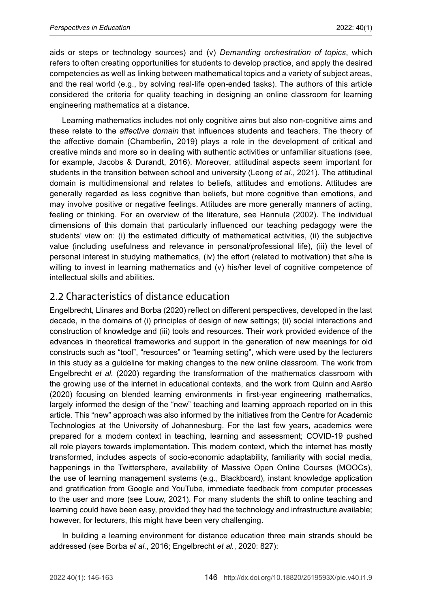#### *Perspectives in Education* 2022: 40(1)

aids or steps or technology sources) and (v) *Demanding orchestration of topics*, which refers to often creating opportunities for students to develop practice, and apply the desired competencies as well as linking between mathematical topics and a variety of subject areas, and the real world (e.g., by solving real-life open-ended tasks). The authors of this article considered the criteria for quality teaching in designing an online classroom for learning engineering mathematics at a distance.

Learning mathematics includes not only cognitive aims but also non-cognitive aims and these relate to the *affective domain* that influences students and teachers. The theory of the affective domain (Chamberlin, 2019) plays a role in the development of critical and creative minds and more so in dealing with authentic activities or unfamiliar situations (see, for example, Jacobs & Durandt, 2016). Moreover, attitudinal aspects seem important for students in the transition between school and university (Leong *et al.*, 2021). The attitudinal domain is multidimensional and relates to beliefs, attitudes and emotions. Attitudes are generally regarded as less cognitive than beliefs, but more cognitive than emotions, and may involve positive or negative feelings. Attitudes are more generally manners of acting, feeling or thinking. For an overview of the literature, see Hannula (2002). The individual dimensions of this domain that particularly influenced our teaching pedagogy were the students' view on: (i) the estimated difficulty of mathematical activities, (ii) the subjective value (including usefulness and relevance in personal/professional life), (iii) the level of personal interest in studying mathematics, (iv) the effort (related to motivation) that s/he is willing to invest in learning mathematics and (v) his/her level of cognitive competence of intellectual skills and abilities.

### 2.2 Characteristics of distance education

Engelbrecht, Llinares and Borba (2020) reflect on different perspectives, developed in the last decade, in the domains of (i) principles of design of new settings; (ii) social interactions and construction of knowledge and (iii) tools and resources. Their work provided evidence of the advances in theoretical frameworks and support in the generation of new meanings for old constructs such as "tool", "resources" or "learning setting", which were used by the lecturers in this study as a guideline for making changes to the new online classroom. The work from Engelbrecht *et al.* (2020) regarding the transformation of the mathematics classroom with the growing use of the internet in educational contexts, and the work from Quinn and Aaräo (2020) focusing on blended learning environments in first-year engineering mathematics, largely informed the design of the "new" teaching and learning approach reported on in this article. This "new" approach was also informed by the initiatives from the Centre for Academic Technologies at the University of Johannesburg. For the last few years, academics were prepared for a modern context in teaching, learning and assessment; COVID-19 pushed all role players towards implementation. This modern context, which the internet has mostly transformed, includes aspects of socio-economic adaptability, familiarity with social media, happenings in the Twittersphere, availability of Massive Open Online Courses (MOOCs), the use of learning management systems (e.g., Blackboard), instant knowledge application and gratification from Google and YouTube, immediate feedback from computer processes to the user and more (see Louw, 2021). For many students the shift to online teaching and learning could have been easy, provided they had the technology and infrastructure available; however, for lecturers, this might have been very challenging.

In building a learning environment for distance education three main strands should be addressed (see Borba *et al.*, 2016; Engelbrecht *et al.*, 2020: 827):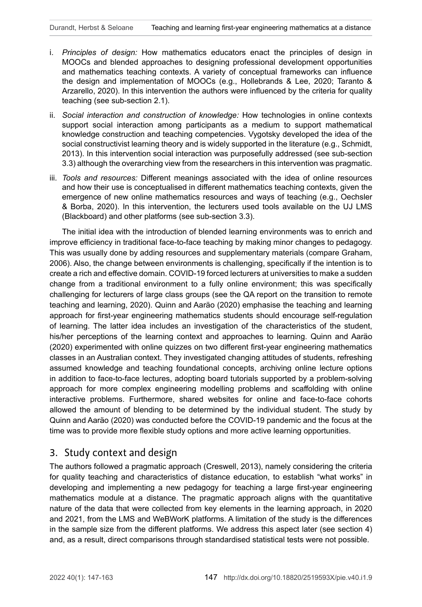- i. *Principles of design:* How mathematics educators enact the principles of design in MOOCs and blended approaches to designing professional development opportunities and mathematics teaching contexts. A variety of conceptual frameworks can influence the design and implementation of MOOCs (e.g., Hollebrands & Lee, 2020; Taranto & Arzarello, 2020). In this intervention the authors were influenced by the criteria for quality teaching (see sub-section 2.1).
- ii. *Social interaction and construction of knowledge:* How technologies in online contexts support social interaction among participants as a medium to support mathematical knowledge construction and teaching competencies. Vygotsky developed the idea of the social constructivist learning theory and is widely supported in the literature (e.g., Schmidt, 2013). In this intervention social interaction was purposefully addressed (see sub-section 3.3) although the overarching view from the researchers in this intervention was pragmatic.
- iii. *Tools and resources:* Different meanings associated with the idea of online resources and how their use is conceptualised in different mathematics teaching contexts, given the emergence of new online mathematics resources and ways of teaching (e.g., Oechsler & Borba, 2020). In this intervention, the lecturers used tools available on the UJ LMS (Blackboard) and other platforms (see sub-section 3.3).

The initial idea with the introduction of blended learning environments was to enrich and improve efficiency in traditional face-to-face teaching by making minor changes to pedagogy. This was usually done by adding resources and supplementary materials (compare Graham, 2006). Also, the change between environments is challenging, specifically if the intention is to create a rich and effective domain. COVID-19 forced lecturers at universities to make a sudden change from a traditional environment to a fully online environment; this was specifically challenging for lecturers of large class groups (see the QA report on the transition to remote teaching and learning, 2020). Quinn and Aaräo (2020) emphasise the teaching and learning approach for first-year engineering mathematics students should encourage self-regulation of learning. The latter idea includes an investigation of the characteristics of the student, his/her perceptions of the learning context and approaches to learning. Quinn and Aaräo (2020) experimented with online quizzes on two different first-year engineering mathematics classes in an Australian context. They investigated changing attitudes of students, refreshing assumed knowledge and teaching foundational concepts, archiving online lecture options in addition to face-to-face lectures, adopting board tutorials supported by a problem-solving approach for more complex engineering modelling problems and scaffolding with online interactive problems. Furthermore, shared websites for online and face-to-face cohorts allowed the amount of blending to be determined by the individual student. The study by Quinn and Aaräo (2020) was conducted before the COVID-19 pandemic and the focus at the time was to provide more flexible study options and more active learning opportunities.

### 3. Study context and design

The authors followed a pragmatic approach (Creswell, 2013), namely considering the criteria for quality teaching and characteristics of distance education, to establish "what works" in developing and implementing a new pedagogy for teaching a large first-year engineering mathematics module at a distance. The pragmatic approach aligns with the quantitative nature of the data that were collected from key elements in the learning approach, in 2020 and 2021, from the LMS and WeBWorK platforms. A limitation of the study is the differences in the sample size from the different platforms. We address this aspect later (see section 4) and, as a result, direct comparisons through standardised statistical tests were not possible.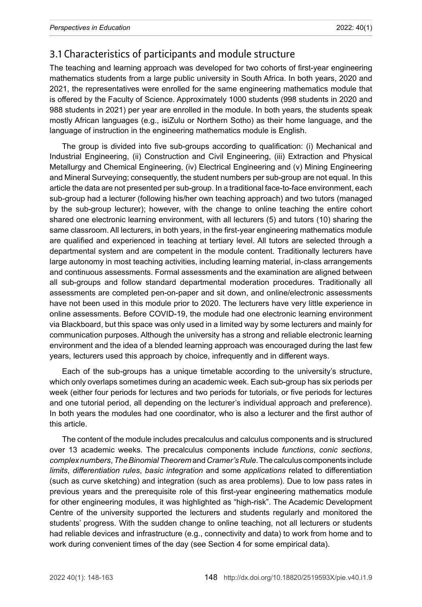# 3.1 Characteristics of participants and module structure

The teaching and learning approach was developed for two cohorts of first-year engineering mathematics students from a large public university in South Africa. In both years, 2020 and 2021, the representatives were enrolled for the same engineering mathematics module that is offered by the Faculty of Science. Approximately 1000 students (998 students in 2020 and 988 students in 2021) per year are enrolled in the module. In both years, the students speak mostly African languages (e.g., isiZulu or Northern Sotho) as their home language, and the language of instruction in the engineering mathematics module is English.

The group is divided into five sub-groups according to qualification: (i) Mechanical and Industrial Engineering, (ii) Construction and Civil Engineering, (iii) Extraction and Physical Metallurgy and Chemical Engineering, (iv) Electrical Engineering and (v) Mining Engineering and Mineral Surveying; consequently, the student numbers per sub-group are not equal. In this article the data are not presented per sub-group. In a traditional face-to-face environment, each sub-group had a lecturer (following his/her own teaching approach) and two tutors (managed by the sub-group lecturer); however, with the change to online teaching the entire cohort shared one electronic learning environment, with all lecturers (5) and tutors (10) sharing the same classroom. All lecturers, in both years, in the first-year engineering mathematics module are qualified and experienced in teaching at tertiary level. All tutors are selected through a departmental system and are competent in the module content. Traditionally lecturers have large autonomy in most teaching activities, including learning material, in-class arrangements and continuous assessments. Formal assessments and the examination are aligned between all sub-groups and follow standard departmental moderation procedures. Traditionally all assessments are completed pen-on-paper and sit down, and online/electronic assessments have not been used in this module prior to 2020. The lecturers have very little experience in online assessments. Before COVID-19, the module had one electronic learning environment via Blackboard, but this space was only used in a limited way by some lecturers and mainly for communication purposes. Although the university has a strong and reliable electronic learning environment and the idea of a blended learning approach was encouraged during the last few years, lecturers used this approach by choice, infrequently and in different ways.

Each of the sub-groups has a unique timetable according to the university's structure, which only overlaps sometimes during an academic week. Each sub-group has six periods per week (either four periods for lectures and two periods for tutorials, or five periods for lectures and one tutorial period, all depending on the lecturer's individual approach and preference). In both years the modules had one coordinator, who is also a lecturer and the first author of this article.

The content of the module includes precalculus and calculus components and is structured over 13 academic weeks. The precalculus components include *functions*, *conic sections*, *complex numbers*, *The Binomial Theorem* and *Cramer's Rule*. The calculus components include *limits*, *differentiation rules*, *basic integration* and some *applications* related to differentiation (such as curve sketching) and integration (such as area problems). Due to low pass rates in previous years and the prerequisite role of this first-year engineering mathematics module for other engineering modules, it was highlighted as "high-risk". The Academic Development Centre of the university supported the lecturers and students regularly and monitored the students' progress. With the sudden change to online teaching, not all lecturers or students had reliable devices and infrastructure (e.g., connectivity and data) to work from home and to work during convenient times of the day (see Section 4 for some empirical data).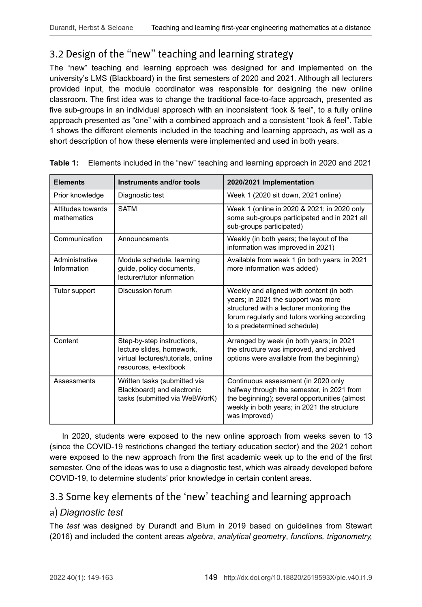# 3.2 Design of the "new" teaching and learning strategy

The "new" teaching and learning approach was designed for and implemented on the university's LMS (Blackboard) in the first semesters of 2020 and 2021. Although all lecturers provided input, the module coordinator was responsible for designing the new online classroom. The first idea was to change the traditional face-to-face approach, presented as five sub-groups in an individual approach with an inconsistent "look & feel", to a fully online approach presented as "one" with a combined approach and a consistent "look & feel". Table 1 shows the different elements included in the teaching and learning approach, as well as a short description of how these elements were implemented and used in both years.

| <b>Elements</b>                  | Instruments and/or tools                                                                                               | 2020/2021 Implementation                                                                                                                                                                                     |  |  |  |
|----------------------------------|------------------------------------------------------------------------------------------------------------------------|--------------------------------------------------------------------------------------------------------------------------------------------------------------------------------------------------------------|--|--|--|
| Prior knowledge                  | Diagnostic test                                                                                                        | Week 1 (2020 sit down, 2021 online)                                                                                                                                                                          |  |  |  |
| Attitudes towards<br>mathematics | <b>SATM</b>                                                                                                            | Week 1 (online in 2020 & 2021; in 2020 only<br>some sub-groups participated and in 2021 all<br>sub-groups participated)                                                                                      |  |  |  |
| Communication                    | Announcements                                                                                                          | Weekly (in both years; the layout of the<br>information was improved in 2021)                                                                                                                                |  |  |  |
| Administrative<br>Information    | Module schedule, learning<br>quide, policy documents,<br>lecturer/tutor information                                    | Available from week 1 (in both years; in 2021<br>more information was added)                                                                                                                                 |  |  |  |
| Tutor support                    | Discussion forum                                                                                                       | Weekly and aligned with content (in both<br>years; in 2021 the support was more<br>structured with a lecturer monitoring the<br>forum regularly and tutors working according<br>to a predetermined schedule) |  |  |  |
| Content                          | Step-by-step instructions,<br>lecture slides, homework,<br>virtual lectures/tutorials, online<br>resources, e-textbook | Arranged by week (in both years; in 2021<br>the structure was improved, and archived<br>options were available from the beginning)                                                                           |  |  |  |
| Assessments                      | Written tasks (submitted via<br>Blackboard) and electronic<br>tasks (submitted via WeBWorK)                            | Continuous assessment (in 2020 only<br>halfway through the semester, in 2021 from<br>the beginning); several opportunities (almost<br>weekly in both years; in 2021 the structure<br>was improved)           |  |  |  |

In 2020, students were exposed to the new online approach from weeks seven to 13 (since the COVID-19 restrictions changed the tertiary education sector) and the 2021 cohort were exposed to the new approach from the first academic week up to the end of the first semester. One of the ideas was to use a diagnostic test, which was already developed before COVID-19, to determine students' prior knowledge in certain content areas.

## 3.3 Some key elements of the 'new' teaching and learning approach

### a) *Diagnostic test*

The *test* was designed by Durandt and Blum in 2019 based on guidelines from Stewart (2016) and included the content areas *algebra*, *analytical geometry*, *functions, trigonometry,*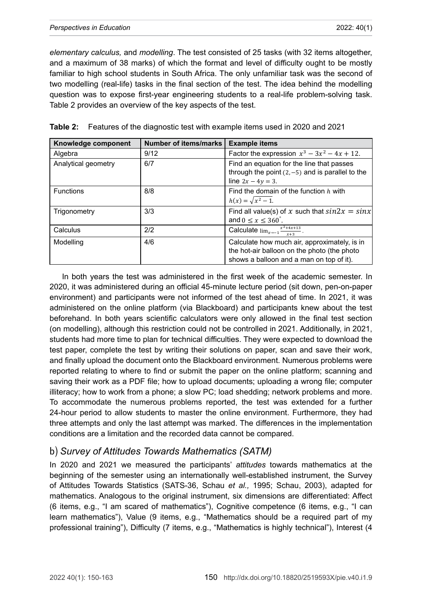*elementary calculus,* and *modelling*. The test consisted of 25 tasks (with 32 items altogether, and a maximum of 38 marks) of which the format and level of difficulty ought to be mostly familiar to high school students in South Africa. The only unfamiliar task was the second of two modelling (real-life) tasks in the final section of the test. The idea behind the modelling we measuring (i.e., mb) date in the line, seeds of the test. The last semilar the measuring question was to expose first-year engineering students to a real-life problem-solving task. Table 2 provides an overview of the key aspects of the test.  $\frac{1}{2}$  TCal-IIIC proble ℎ() = �� − 1.

� − 3� − 4 + 12.

| Knowledge component        | Number of items/marks | <b>Example items</b>                                                                                                                    |  |  |
|----------------------------|-----------------------|-----------------------------------------------------------------------------------------------------------------------------------------|--|--|
| Algebra                    | 9/12                  | Factor the expression $x^3 - 3x^2 - 4x + 12$ .                                                                                          |  |  |
| 6/7<br>Analytical geometry |                       | Find an equation for the line that passes<br>through the point $(2, -5)$ and is parallel to the<br>line $2x - 4y = 3$ .                 |  |  |
| <b>Functions</b>           | 8/8                   | Find the domain of the function $h$ with<br>$h(x) = \sqrt{x^2 - 1}.$                                                                    |  |  |
| Trigonometry               | 3/3                   | Find all value(s) of x such that $sin2x = sinx$<br>and $0 < x < 360^\circ$ .                                                            |  |  |
| Calculus                   | 2/2                   | Calculate $\lim_{x\to -1} \frac{x^2+4x+13}{x+3}$ .                                                                                      |  |  |
| Modelling                  | 4/6                   | Calculate how much air, approximately, is in<br>the hot-air balloon on the photo (the photo<br>shows a balloon and a man on top of it). |  |  |

**Table 2:** Features of the diagnostic test with example items used in 2020 and 2021

In both years the test was administered in the first week of the academic semester. In 2020, it was administered during an official 45-minute lecture period (sit down, pen-on-paper environment) and participants were not informed of the test ahead of time. In 2021, it was administered on the online platform (via Blackboard) and participants knew about the test **heforehand.** In both years scientific calculators were only allowed in the final test section beforehand. In both years scientific calculators were only allowed in the final test section (on modelling), although this restriction could not be controlled in 2021. Additionally, in 2021, students had more time to plan for technical difficulties. They were expected to download the test paper, complete the test by writing their solutions on paper, scan and save their work, and finally upload the document onto the Blackboard environment. Numerous problems were reported relating to where to find or submit the paper on the online platform; scanning and saving their work as a PDF file; how to upload documents; uploading a wrong file; computer illiteracy; how to work from a phone; a slow PC; load shedding; network problems and more. To accommodate the numerous problems reported, the test was extended for a further 24-hour period to allow students to master the online environment. Furthermore, they had three attempts and only the last attempt was marked. The differences in the implementation conditions are a limitation and the recorded data cannot be compared.  $\overline{a}$ alculators we

# b) Survey of Attitudes Towards Mathematics (SATM)

In 2020 and 2021 we measured the participants' *attitudes* towards mathematics at the beginning of the semester using an internationally well-established instrument, the Survey of Attitudes Towards Statistics (SATS-36, Schau *et al.,* 1995; Schau, 2003), adapted for mathematics. Analogous to the original instrument, six dimensions are differentiated: Affect (6 items, e.g., "I am scared of mathematics"), Cognitive competence (6 items, e.g., "I can learn mathematics"), Value (9 items, e.g., "Mathematics should be a required part of my professional training"), Difficulty (7 items, e.g., "Mathematics is highly technical"), Interest (4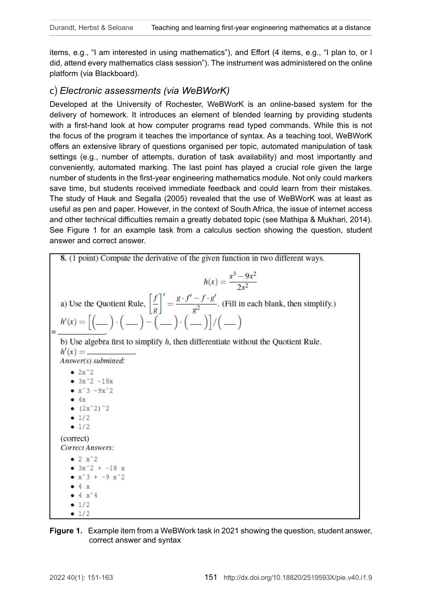items, e.g., "I am interested in using mathematics"), and Effort (4 items, e.g., "I plan to, or I did, attend every mathematics class session"). The instrument was administered on the online platform (via Blackboard).

### c) *Electronic assessments (via WeBWorK)*

Developed at the University of Rochester, WeBWorK is an online-based system for the delivery of homework. It introduces an element of blended learning by providing students with a first-hand look at how computer programs read typed commands. While this is not the focus of the program it teaches the importance of syntax. As a teaching tool, WeBWorK offers an extensive library of questions organised per topic, automated manipulation of task settings (e.g., number of attempts, duration of task availability) and most importantly and conveniently, automated marking. The last point has played a crucial role given the large number of students in the first-year engineering mathematics module. Not only could markers save time, but students received immediate feedback and could learn from their mistakes. The study of Hauk and Segalla (2005) revealed that the use of WeBWorK was at least as useful as pen and paper. However, in the context of South Africa, the issue of internet access and other technical difficulties remain a greatly debated topic (see Mathipa & Mukhari, 2014). See Figure 1 for an example task from a calculus section showing the question, student answer and correct answer.



**Figure 1.** Example item from a WeBWork task in 2021 showing the question, student answer, correct answer and syntax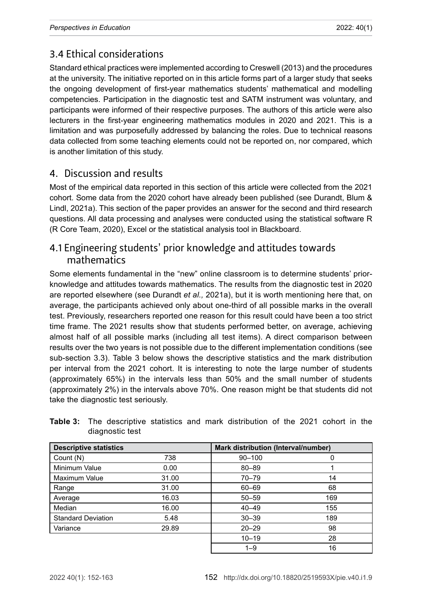# 3.4 Ethical considerations

Standard ethical practices were implemented according to Creswell (2013) and the procedures at the university. The initiative reported on in this article forms part of a larger study that seeks the ongoing development of first-year mathematics students' mathematical and modelling competencies. Participation in the diagnostic test and SATM instrument was voluntary, and participants were informed of their respective purposes. The authors of this article were also lecturers in the first-year engineering mathematics modules in 2020 and 2021. This is a limitation and was purposefully addressed by balancing the roles. Due to technical reasons data collected from some teaching elements could not be reported on, nor compared, which is another limitation of this study.

## 4. Discussion and results

Most of the empirical data reported in this section of this article were collected from the 2021 cohort. Some data from the 2020 cohort have already been published (see Durandt, Blum & Lindl, 2021a). This section of the paper provides an answer for the second and third research questions. All data processing and analyses were conducted using the statistical software R (R Core Team, 2020), Excel or the statistical analysis tool in Blackboard.

### 4.1 Engineering students' prior knowledge and attitudes towards mathematics

Some elements fundamental in the "new" online classroom is to determine students' priorknowledge and attitudes towards mathematics. The results from the diagnostic test in 2020 are reported elsewhere (see Durandt *et al.,* 2021a), but it is worth mentioning here that, on average, the participants achieved only about one-third of all possible marks in the overall test. Previously, researchers reported one reason for this result could have been a too strict time frame. The 2021 results show that students performed better, on average, achieving almost half of all possible marks (including all test items). A direct comparison between results over the two years is not possible due to the different implementation conditions (see sub-section 3.3). Table 3 below shows the descriptive statistics and the mark distribution per interval from the 2021 cohort. It is interesting to note the large number of students (approximately 65%) in the intervals less than 50% and the small number of students (approximately 2%) in the intervals above 70%. One reason might be that students did not take the diagnostic test seriously.

| <b>Descriptive statistics</b> |       | Mark distribution (Interval/number) |     |  |
|-------------------------------|-------|-------------------------------------|-----|--|
| Count (N)                     | 738   | $90 - 100$                          |     |  |
| Minimum Value                 | 0.00  | $80 - 89$                           |     |  |
| Maximum Value                 | 31.00 | $70 - 79$                           | 14  |  |
| Range                         | 31.00 | 60-69                               | 68  |  |
| Average                       | 16.03 | $50 - 59$                           | 169 |  |
| Median                        | 16.00 | $40 - 49$                           | 155 |  |
| <b>Standard Deviation</b>     | 5.48  | $30 - 39$                           | 189 |  |
| Variance                      | 29.89 | $20 - 29$                           | 98  |  |
|                               |       | $10 - 19$                           | 28  |  |
|                               |       | $1 - 9$                             | 16  |  |

**Table 3:** The descriptive statistics and mark distribution of the 2021 cohort in the diagnostic test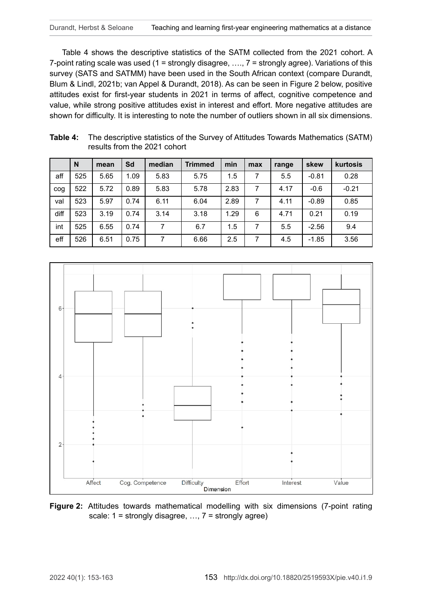Table 4 shows the descriptive statistics of the SATM collected from the 2021 cohort. A 7-point rating scale was used  $(1 =$  strongly disagree, ...,  $7 =$  strongly agree). Variations of this survey (SATS and SATMM) have been used in the South African context (compare Durandt, Blum & Lindl, 2021b; van Appel & Durandt, 2018). As can be seen in Figure 2 below, positive attitudes exist for first-year students in 2021 in terms of affect, cognitive competence and value, while strong positive attitudes exist in interest and effort. More negative attitudes are shown for difficulty. It is interesting to note the number of outliers shown in all six dimensions.

|      | N   | mean | Sd   | median | <b>Trimmed</b> | min  | max | range | skew    | kurtosis |
|------|-----|------|------|--------|----------------|------|-----|-------|---------|----------|
| aff  | 525 | 5.65 | 1.09 | 5.83   | 5.75           | 1.5  |     | 5.5   | $-0.81$ | 0.28     |
| cog  | 522 | 5.72 | 0.89 | 5.83   | 5.78           | 2.83 | 7   | 4.17  | $-0.6$  | $-0.21$  |
| val  | 523 | 5.97 | 0.74 | 6.11   | 6.04           | 2.89 | 7   | 4.11  | $-0.89$ | 0.85     |
| diff | 523 | 3.19 | 0.74 | 3.14   | 3.18           | 1.29 | 6   | 4.71  | 0.21    | 0.19     |
| int  | 525 | 6.55 | 0.74 | 7      | 6.7            | 1.5  | 7   | 5.5   | $-2.56$ | 9.4      |
| eff  | 526 | 6.51 | 0.75 | 7      | 6.66           | 2.5  | 7   | 4.5   | $-1.85$ | 3.56     |

**Table 4:** The descriptive statistics of the Survey of Attitudes Towards Mathematics (SATM) results from the 2021 cohort



**Figure 2:** Attitudes towards mathematical modelling with six dimensions (7-point rating scale: 1 = strongly disagree, …, 7 = strongly agree)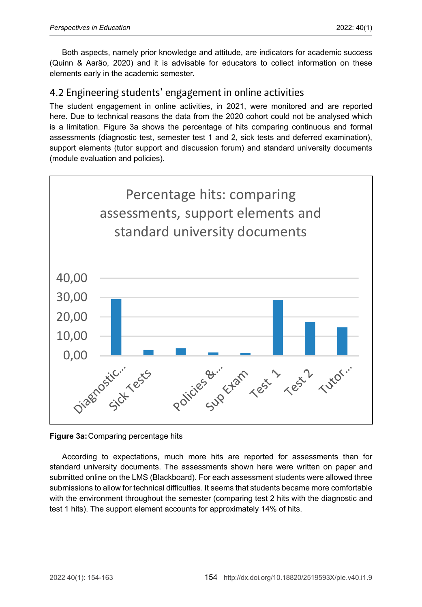Both aspects, namely prior knowledge and attitude, are indicators for academic success (Quinn & Aaräo, 2020) and it is advisable for educators to collect information on these elements early in the academic semester.

### 4.2 Engineering students' engagement in online activities

The student engagement in online activities, in 2021, were monitored and are reported here. Due to technical reasons the data from the 2020 cohort could not be analysed which is a limitation. Figure 3a shows the percentage of hits comparing continuous and formal assessments (diagnostic test, semester test 1 and 2, sick tests and deferred examination), support elements (tutor support and discussion forum) and standard university documents (module evaluation and policies).





According to expectations, much more hits are reported for assessments than for standard university documents. The assessments shown here were written on paper and submitted online on the LMS (Blackboard). For each assessment students were allowed three submissions to allow for technical difficulties. It seems that students became more comfortable with the environment throughout the semester (comparing test 2 hits with the diagnostic and test 1 hits). The support element accounts for approximately 14% of hits.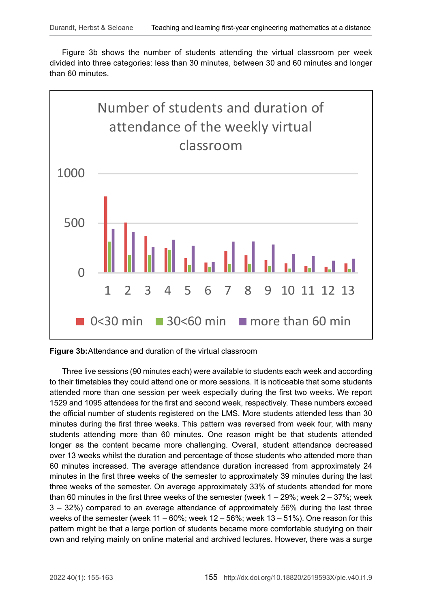Figure 3b shows the number of students attending the virtual classroom per week divided into three categories: less than 30 minutes, between 30 and 60 minutes and longer than 60 minutes.



**Figure 3b:**Attendance and duration of the virtual classroom

Three live sessions (90 minutes each) were available to students each week and according to their timetables they could attend one or more sessions. It is noticeable that some students attended more than one session per week especially during the first two weeks. We report 1529 and 1095 attendees for the first and second week, respectively. These numbers exceed the official number of students registered on the LMS. More students attended less than 30 minutes during the first three weeks. This pattern was reversed from week four, with many students attending more than 60 minutes. One reason might be that students attended longer as the content became more challenging. Overall, student attendance decreased over 13 weeks whilst the duration and percentage of those students who attended more than 60 minutes increased. The average attendance duration increased from approximately 24 minutes in the first three weeks of the semester to approximately 39 minutes during the last three weeks of the semester. On average approximately 33% of students attended for more than 60 minutes in the first three weeks of the semester (week  $1 - 29\%$ ; week  $2 - 37\%$ ; week 3 – 32%) compared to an average attendance of approximately 56% during the last three weeks of the semester (week  $11 - 60\%$ ; week  $12 - 56\%$ ; week  $13 - 51\%$ ). One reason for this pattern might be that a large portion of students became more comfortable studying on their own and relying mainly on online material and archived lectures. However, there was a surge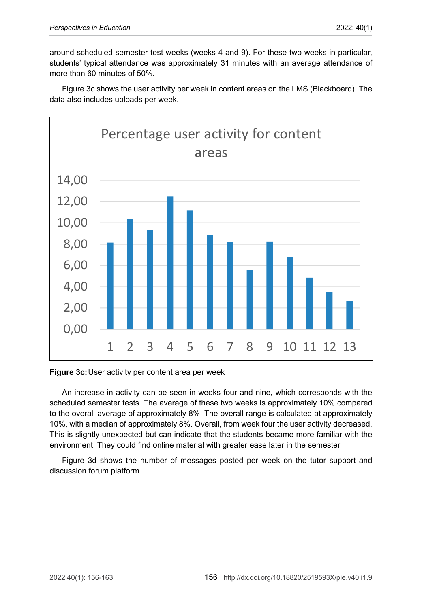around scheduled semester test weeks (weeks 4 and 9). For these two weeks in particular, students' typical attendance was approximately 31 minutes with an average attendance of more than 60 minutes of 50%.

Figure 3c shows the user activity per week in content areas on the LMS (Blackboard). The data also includes uploads per week.





An increase in activity can be seen in weeks four and nine, which corresponds with the scheduled semester tests. The average of these two weeks is approximately 10% compared to the overall average of approximately 8%. The overall range is calculated at approximately 10%, with a median of approximately 8%. Overall, from week four the user activity decreased. This is slightly unexpected but can indicate that the students became more familiar with the environment. They could find online material with greater ease later in the semester.

Figure 3d shows the number of messages posted per week on the tutor support and discussion forum platform.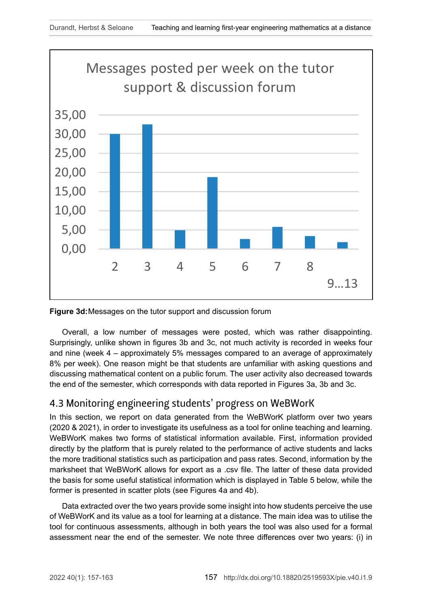

**Figure 3d:**Messages on the tutor support and discussion forum

Overall, a low number of messages were posted, which was rather disappointing. Surprisingly, unlike shown in figures 3b and 3c, not much activity is recorded in weeks four and nine (week 4 – approximately 5% messages compared to an average of approximately 8% per week). One reason might be that students are unfamiliar with asking questions and discussing mathematical content on a public forum. The user activity also decreased towards the end of the semester, which corresponds with data reported in Figures 3a, 3b and 3c.

## 4.3 Monitoring engineering students' progress on WeBWorK

In this section, we report on data generated from the WeBWorK platform over two years (2020 & 2021), in order to investigate its usefulness as a tool for online teaching and learning. WeBWorK makes two forms of statistical information available. First, information provided directly by the platform that is purely related to the performance of active students and lacks the more traditional statistics such as participation and pass rates. Second, information by the marksheet that WeBWorK allows for export as a .csv file. The latter of these data provided the basis for some useful statistical information which is displayed in Table 5 below, while the former is presented in scatter plots (see Figures 4a and 4b).

Data extracted over the two years provide some insight into how students perceive the use of WeBWorK and its value as a tool for learning at a distance. The main idea was to utilise the tool for continuous assessments, although in both years the tool was also used for a formal assessment near the end of the semester. We note three differences over two years: (i) in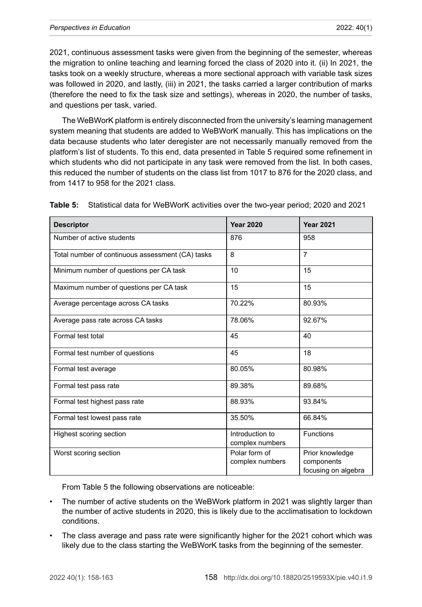2021, continuous assessment tasks were given from the beginning of the semester, whereas the migration to online teaching and learning forced the class of 2020 into it. (ii) In 2021, the tasks took on a weekly structure, whereas a more sectional approach with variable task sizes was followed in 2020, and lastly, (iii) in 2021, the tasks carried a larger contribution of marks (therefore the need to fix the task size and settings), whereas in 2020, the number of tasks, and questions per task, varied.

The WeBWorK platform is entirely disconnected from the university's learning management system meaning that students are added to WeBWorK manually. This has implications on the data because students who later deregister are not necessarily manually removed from the platform's list of students. To this end, data presented in Table 5 required some refinement in which students who did not participate in any task were removed from the list. In both cases, this reduced the number of students on the class list from 1017 to 876 for the 2020 class, and from 1417 to 958 for the 2021 class.

| <b>Descriptor</b>                                | <b>Year 2020</b>                   | <b>Year 2021</b>                                     |  |
|--------------------------------------------------|------------------------------------|------------------------------------------------------|--|
| Number of active students                        | 876                                | 958                                                  |  |
| Total number of continuous assessment (CA) tasks | 8                                  | $\overline{7}$                                       |  |
| Minimum number of questions per CA task          | 10                                 | 15                                                   |  |
| Maximum number of questions per CA task          | 15                                 | 15                                                   |  |
| Average percentage across CA tasks               | 70.22%                             | 80.93%                                               |  |
| Average pass rate across CA tasks                | 78.06%                             | 92.67%                                               |  |
| Formal test total                                | 45                                 | 40                                                   |  |
| Formal test number of questions                  | 45                                 | 18                                                   |  |
| Formal test average                              | 80.05%                             | 80.98%                                               |  |
| Formal test pass rate                            | 89.38%                             | 89.68%                                               |  |
| Formal test highest pass rate                    | 88.93%                             | 93.84%                                               |  |
| Formal test lowest pass rate                     | 35.50%                             | 66.84%                                               |  |
| Highest scoring section                          | Introduction to<br>complex numbers | <b>Functions</b>                                     |  |
| Worst scoring section                            | Polar form of<br>complex numbers   | Prior knowledge<br>components<br>focusing on algebra |  |

**Table 5:** Statistical data for WeBWorK activities over the two-year period; 2020 and 2021

From Table 5 the following observations are noticeable:

- The number of active students on the WeBWork platform in 2021 was slightly larger than the number of active students in 2020, this is likely due to the acclimatisation to lockdown conditions.
- The class average and pass rate were significantly higher for the 2021 cohort which was likely due to the class starting the WeBWorK tasks from the beginning of the semester.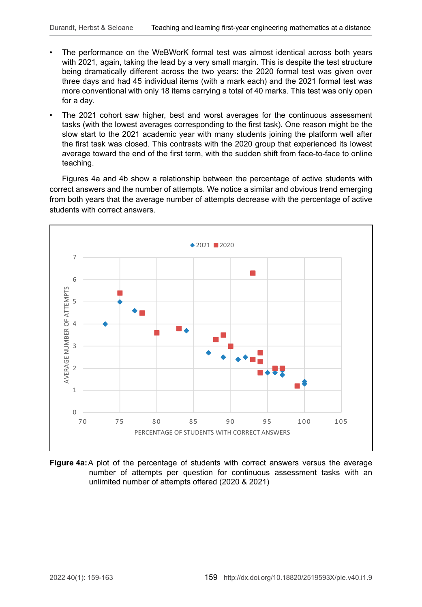- The performance on the WeBWorK formal test was almost identical across both years with 2021, again, taking the lead by a very small margin. This is despite the test structure being dramatically different across the two years: the 2020 formal test was given over three days and had 45 individual items (with a mark each) and the 2021 formal test was more conventional with only 18 items carrying a total of 40 marks. This test was only open for a day.
- The 2021 cohort saw higher, best and worst averages for the continuous assessment tasks (with the lowest averages corresponding to the first task). One reason might be the slow start to the 2021 academic year with many students joining the platform well after the first task was closed. This contrasts with the 2020 group that experienced its lowest average toward the end of the first term, with the sudden shift from face-to-face to online teaching.

Figures 4a and 4b show a relationship between the percentage of active students with correct answers and the number of attempts. We notice a similar and obvious trend emerging from both years that the average number of attempts decrease with the percentage of active students with correct answers.



**Figure 4a:**A plot of the percentage of students with correct answers versus the average number of attempts per question for continuous assessment tasks with an unlimited number of attempts offered (2020 & 2021)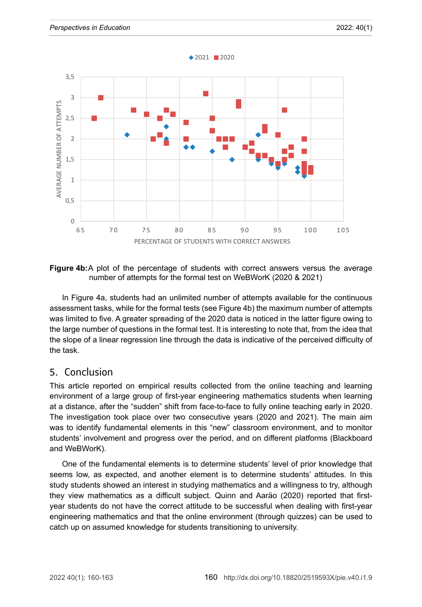

**Figure 4b:**A plot of the percentage of students with correct answers versus the average number of attempts for the formal test on WeBWorK (2020 & 2021)

In Figure 4a, students had an unlimited number of attempts available for the continuous assessment tasks, while for the formal tests (see Figure 4b) the maximum number of attempts was limited to five. A greater spreading of the 2020 data is noticed in the latter figure owing to the large number of questions in the formal test. It is interesting to note that, from the idea that the slope of a linear regression line through the data is indicative of the perceived difficulty of the task.

#### 5. Conclusion

This article reported on empirical results collected from the online teaching and learning environment of a large group of first-year engineering mathematics students when learning at a distance, after the "sudden" shift from face-to-face to fully online teaching early in 2020. The investigation took place over two consecutive years (2020 and 2021). The main aim was to identify fundamental elements in this "new" classroom environment, and to monitor students' involvement and progress over the period, and on different platforms (Blackboard and WeBWorK).

One of the fundamental elements is to determine students' level of prior knowledge that seems low, as expected, and another element is to determine students' attitudes. In this study students showed an interest in studying mathematics and a willingness to try, although they view mathematics as a difficult subject. Quinn and Aaräo (2020) reported that firstyear students do not have the correct attitude to be successful when dealing with first-year engineering mathematics and that the online environment (through quizzes) can be used to catch up on assumed knowledge for students transitioning to university.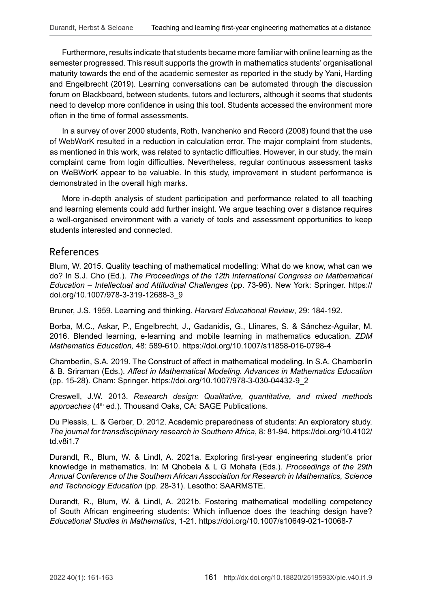Furthermore, results indicate that students became more familiar with online learning as the semester progressed. This result supports the growth in mathematics students' organisational maturity towards the end of the academic semester as reported in the study by Yani, Harding and Engelbrecht (2019). Learning conversations can be automated through the discussion forum on Blackboard, between students, tutors and lecturers, although it seems that students need to develop more confidence in using this tool. Students accessed the environment more often in the time of formal assessments.

In a survey of over 2000 students, Roth, Ivanchenko and Record (2008) found that the use of WebWorK resulted in a reduction in calculation error. The major complaint from students, as mentioned in this work, was related to syntactic difficulties. However, in our study, the main complaint came from login difficulties. Nevertheless, regular continuous assessment tasks on WeBWorK appear to be valuable. In this study, improvement in student performance is demonstrated in the overall high marks.

More in-depth analysis of student participation and performance related to all teaching and learning elements could add further insight. We argue teaching over a distance requires a well-organised environment with a variety of tools and assessment opportunities to keep students interested and connected.

#### References

Blum, W. 2015. Quality teaching of mathematical modelling: What do we know, what can we do? In S.J. Cho (Ed.). *The Proceedings of the 12th International Congress on Mathematical Education – Intellectual and Attitudinal Challenges* (pp. 73-96). New York: Springer. [https://](https://doi.org/10.1007/978-3-319-12688-3_9) [doi.org/10.1007/978-3-319-12688-3\\_9](https://doi.org/10.1007/978-3-319-12688-3_9)

Bruner, J.S. 1959. Learning and thinking. *Harvard Educational Review*, 29: 184-192.

Borba, M.C., Askar, P., Engelbrecht, J., Gadanidis, G., Llinares, S. & Sánchez-Aguilar, M. 2016. Blended learning, e-learning and mobile learning in mathematics education. *ZDM Mathematics Education,* 48: 589-610.<https://doi.org/10.1007/s11858-016-0798-4>

Chamberlin, S.A. 2019. The Construct of affect in mathematical modeling. In S.A. Chamberlin & B. Sriraman (Eds.). *Affect in Mathematical Modeling. Advances in Mathematics Education*  (pp. 15-28). Cham: Springer. [https://doi.org/10.1007/978-3-030-04432-9\\_2](https://doi.org/10.1007/978-3-030-04432-9_2)

Creswell, J.W. 2013. *Research design: Qualitative, quantitative, and mixed methods*  approaches (4<sup>th</sup> ed.). Thousand Oaks, CA: SAGE Publications.

Du Plessis, L. & Gerber, D. 2012. Academic preparedness of students: An exploratory study. *The journal for transdisciplinary research in Southern Africa*, 8*:* 81-94. [https://doi.org/10.4102/](https://doi.org/10.4102/td.v8i1.7) [td.v8i1.7](https://doi.org/10.4102/td.v8i1.7)

Durandt, R., Blum, W. & Lindl, A. 2021a. Exploring first-year engineering student's prior knowledge in mathematics. In: M Qhobela & L G Mohafa (Eds.). *Proceedings of the 29th Annual Conference of the Southern African Association for Research in Mathematics, Science and Technology Education* (pp. 28-31). Lesotho: SAARMSTE.

Durandt, R., Blum, W. & Lindl, A. 2021b. Fostering mathematical modelling competency of South African engineering students: Which influence does the teaching design have? *Educational Studies in Mathematics*, 1-21*.* [https://doi.org/10.1007/s10649-021-10068-7](https://eur01.safelinks.protection.outlook.com/?url=https%3A%2F%2Fdoi.org%2F10.1007%2Fs10649-021-10068-7&data=04%7C01%7Crdurandt%40uj.ac.za%7Ca741ded402d140f559f708d93bbacdeb%7Cfa785acd36ef41bc8a9489841327e045%7C0%7C0%7C637606495826111032%7CUnknown%7CTWFpbGZsb3d8eyJWIjoiMC4wLjAwMDAiLCJQIjoiV2luMzIiLCJBTiI6Ik1haWwiLCJXVCI6Mn0%3D%7C1000&sdata=0QM5AZMdO2a1iX7xngOQ2BtrbmV1wFBc1dGYKAUKso0%3D&reserved=0)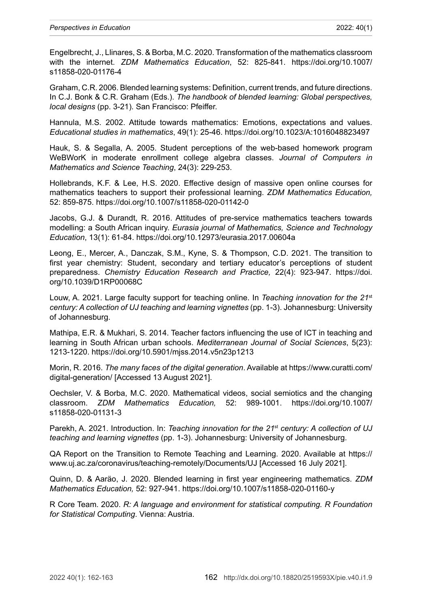Engelbrecht, J., Llinares, S. & Borba, M.C. 2020. Transformation of the mathematics classroom with the internet. *ZDM Mathematics Education*, 52: 825-841. [https://doi.org/10.1007/](https://doi.org/10.1007/s11858-020-01176-4) [s11858-020-01176-4](https://doi.org/10.1007/s11858-020-01176-4)

Graham, C.R. 2006. Blended learning systems: Definition, current trends, and future directions. In C.J. Bonk & C.R. Graham (Eds.). *The handbook of blended learning: Global perspectives, local designs* (pp. 3‑21). San Francisco: Pfeiffer.

Hannula, M.S. 2002. Attitude towards mathematics: Emotions, expectations and values. *Educational studies in mathematics*, 49(1): 25-46. https://doi.org/10.1023/A:1016048823497

Hauk, S. & Segalla, A. 2005. Student perceptions of the web-based homework program WeBWorK in moderate enrollment college algebra classes. *Journal of Computers in Mathematics and Science Teaching*, 24(3): 229-253.

Hollebrands, K.F. & Lee, H.S. 2020. Effective design of massive open online courses for mathematics teachers to support their professional learning. *ZDM Mathematics Education,*  52: 859-875. <https://doi.org/10.1007/s11858-020-01142-0>

Jacobs, G.J. & Durandt, R. 2016. Attitudes of pre-service mathematics teachers towards modelling: a South African inquiry. *Eurasia journal of Mathematics, Science and Technology Education*, 13(1): 61-84. <https://doi.org/10.12973/eurasia.2017.00604a>

Leong, E., Mercer, A., Danczak, S.M., Kyne, S. & Thompson, C.D. 2021. The transition to first year chemistry: Student, secondary and tertiary educator's perceptions of student preparedness. *Chemistry Education Research and Practice,* 22(4): 923-947. [https://doi.](https://doi.org/10.1039/D1RP00068C) [org/10.1039/D1RP00068C](https://doi.org/10.1039/D1RP00068C)

Louw, A. 2021. Large faculty support for teaching online. In *Teaching innovation for the 21*st *century: A collection of UJ teaching and learning vignettes* (pp. 1-3). Johannesburg: University of Johannesburg.

Mathipa, E.R. & Mukhari, S. 2014. Teacher factors influencing the use of ICT in teaching and learning in South African urban schools. *Mediterranean Journal of Social Sciences*, 5(23): 1213-1220. <https://doi.org/10.5901/mjss.2014.v5n23p1213>

Morin, R. 2016. *The many faces of the digital generation*. Available at [https://www.curatti.com/](https://www.curatti.com/digital-generation/) [digital-generation/](https://www.curatti.com/digital-generation/) [Accessed 13 August 2021].

Oechsler, V. & Borba, M.C. 2020. Mathematical videos, social semiotics and the changing classroom. *ZDM Mathematics Education,* 52: 989-1001. [https://doi.org/10.1007/](https://doi.org/10.1007/s11858-020-01131-3) [s11858-020-01131-3](https://doi.org/10.1007/s11858-020-01131-3)

Parekh, A. 2021. Introduction. In: *Teaching innovation for the 21*st *century: A collection of UJ teaching and learning vignettes* (pp. 1-3). Johannesburg: University of Johannesburg.

QA Report on the Transition to Remote Teaching and Learning. 2020. Available at [https://](https://www.uj.ac.za/coronavirus/teaching-remotely/Documents/UJ) [www.uj.ac.za/coronavirus/teaching-remotely/Documents/UJ](https://www.uj.ac.za/coronavirus/teaching-remotely/Documents/UJ) [Accessed 16 July 2021].

Quinn, D. & Aaräo, J. 2020. Blended learning in first year engineering mathematics. *ZDM Mathematics Education,* 52: 927-941.<https://doi.org/10.1007/s11858-020-01160-y>

R Core Team. 2020. *R: A language and environment for statistical computing. R Foundation for Statistical Computing*. Vienna: Austria.